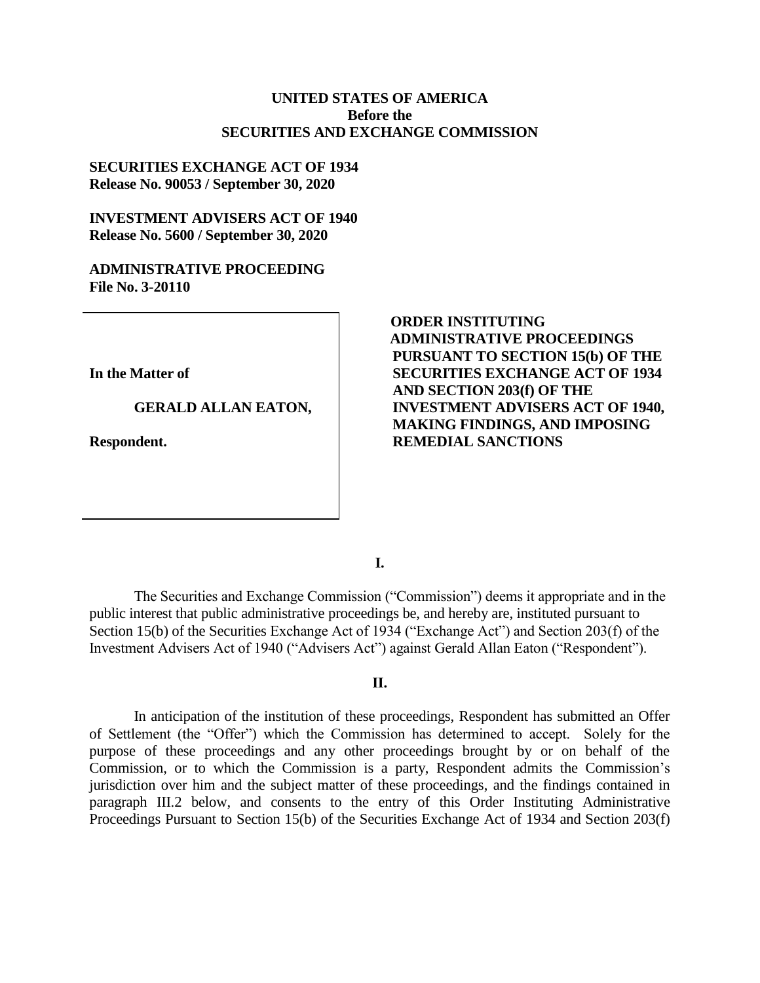## **UNITED STATES OF AMERICA Before the SECURITIES AND EXCHANGE COMMISSION**

## **SECURITIES EXCHANGE ACT OF 1934 Release No. 90053 / September 30, 2020**

## **INVESTMENT ADVISERS ACT OF 1940 Release No. 5600 / September 30, 2020**

#### **ADMINISTRATIVE PROCEEDING File No. 3-20110**

**In the Matter of**

### **GERALD ALLAN EATON,**

**Respondent.**

# **ORDER INSTITUTING ADMINISTRATIVE PROCEEDINGS PURSUANT TO SECTION 15(b) OF THE SECURITIES EXCHANGE ACT OF 1934 AND SECTION 203(f) OF THE INVESTMENT ADVISERS ACT OF 1940, MAKING FINDINGS, AND IMPOSING REMEDIAL SANCTIONS**

**I.**

The Securities and Exchange Commission ("Commission") deems it appropriate and in the public interest that public administrative proceedings be, and hereby are, instituted pursuant to Section 15(b) of the Securities Exchange Act of 1934 ("Exchange Act") and Section 203(f) of the Investment Advisers Act of 1940 ("Advisers Act") against Gerald Allan Eaton ("Respondent").

#### **II.**

In anticipation of the institution of these proceedings, Respondent has submitted an Offer of Settlement (the "Offer") which the Commission has determined to accept. Solely for the purpose of these proceedings and any other proceedings brought by or on behalf of the Commission, or to which the Commission is a party, Respondent admits the Commission's jurisdiction over him and the subject matter of these proceedings, and the findings contained in paragraph III.2 below, and consents to the entry of this Order Instituting Administrative Proceedings Pursuant to Section 15(b) of the Securities Exchange Act of 1934 and Section 203(f)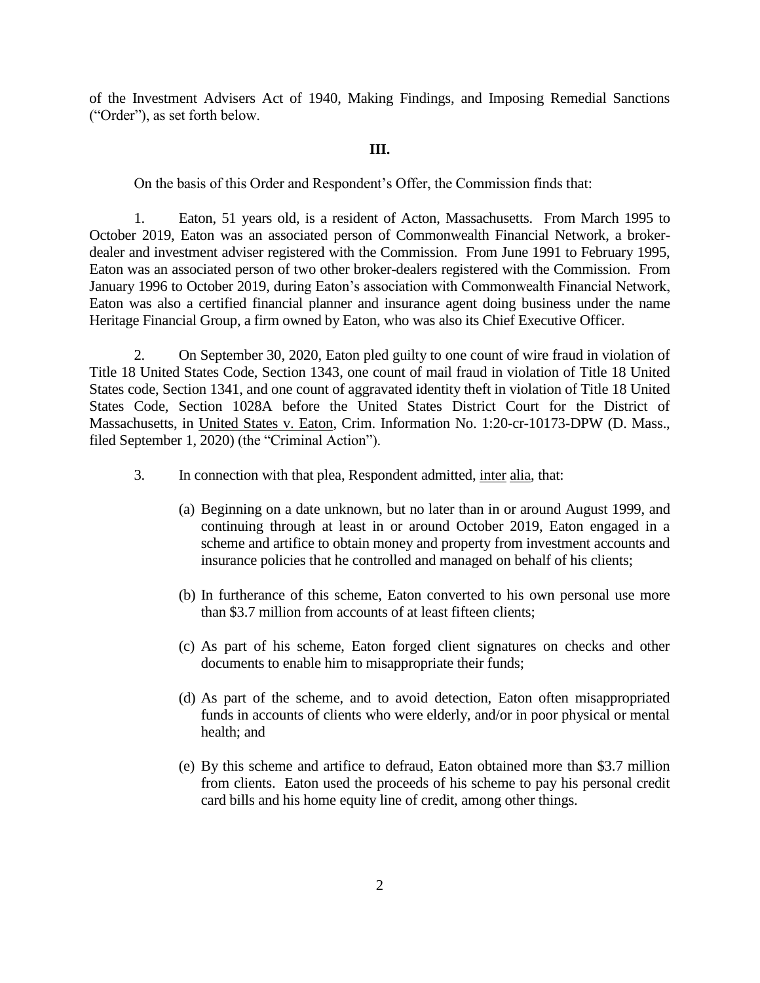of the Investment Advisers Act of 1940, Making Findings, and Imposing Remedial Sanctions ("Order"), as set forth below.

#### **III.**

On the basis of this Order and Respondent's Offer, the Commission finds that:

1. Eaton, 51 years old, is a resident of Acton, Massachusetts. From March 1995 to October 2019, Eaton was an associated person of Commonwealth Financial Network, a brokerdealer and investment adviser registered with the Commission. From June 1991 to February 1995, Eaton was an associated person of two other broker-dealers registered with the Commission. From January 1996 to October 2019, during Eaton's association with Commonwealth Financial Network, Eaton was also a certified financial planner and insurance agent doing business under the name Heritage Financial Group, a firm owned by Eaton, who was also its Chief Executive Officer.

2. On September 30, 2020, Eaton pled guilty to one count of wire fraud in violation of Title 18 United States Code, Section 1343, one count of mail fraud in violation of Title 18 United States code, Section 1341, and one count of aggravated identity theft in violation of Title 18 United States Code, Section 1028A before the United States District Court for the District of Massachusetts, in United States v. Eaton, Crim. Information No. 1:20-cr-10173-DPW (D. Mass., filed September 1, 2020) (the "Criminal Action").

- 3. In connection with that plea, Respondent admitted, inter alia, that:
	- (a) Beginning on a date unknown, but no later than in or around August 1999, and continuing through at least in or around October 2019, Eaton engaged in a scheme and artifice to obtain money and property from investment accounts and insurance policies that he controlled and managed on behalf of his clients;
	- (b) In furtherance of this scheme, Eaton converted to his own personal use more than \$3.7 million from accounts of at least fifteen clients;
	- (c) As part of his scheme, Eaton forged client signatures on checks and other documents to enable him to misappropriate their funds;
	- (d) As part of the scheme, and to avoid detection, Eaton often misappropriated funds in accounts of clients who were elderly, and/or in poor physical or mental health; and
	- (e) By this scheme and artifice to defraud, Eaton obtained more than \$3.7 million from clients. Eaton used the proceeds of his scheme to pay his personal credit card bills and his home equity line of credit, among other things.